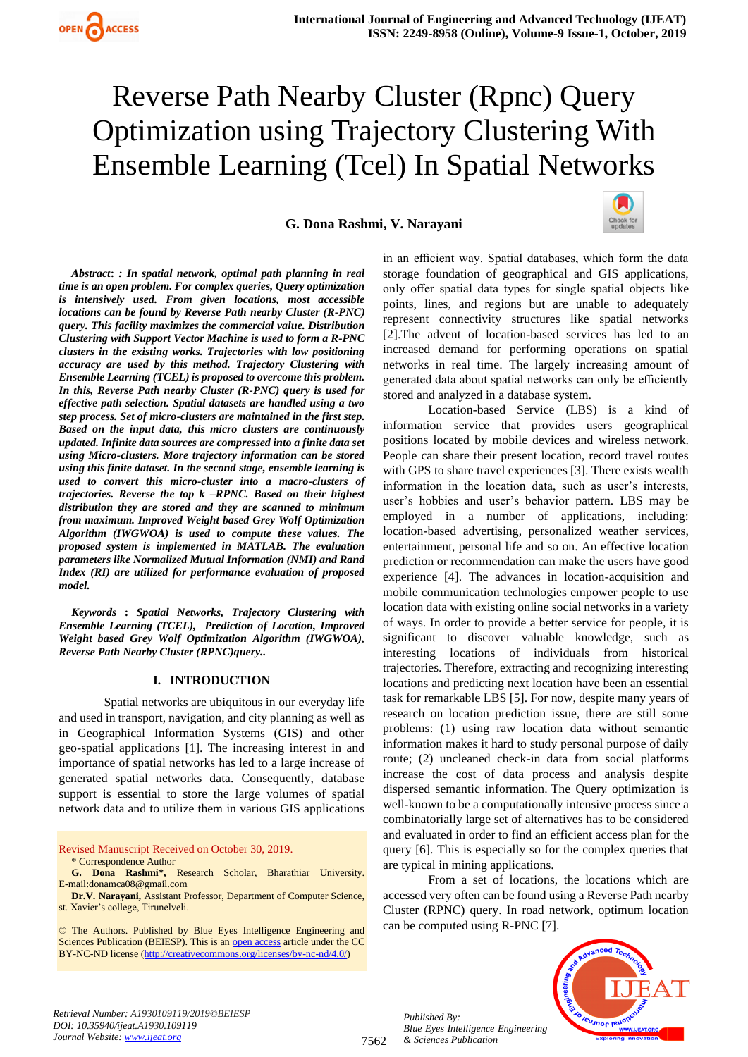**G. Dona Rashmi, V. Narayani**



*Abstract***:** *: In spatial network, optimal path planning in real time is an open problem. For complex queries, Query optimization is intensively used. From given locations, most accessible locations can be found by Reverse Path nearby Cluster (R-PNC) query. This facility maximizes the commercial value. Distribution Clustering with Support Vector Machine is used to form a R-PNC clusters in the existing works. Trajectories with low positioning accuracy are used by this method. Trajectory Clustering with Ensemble Learning (TCEL) is proposed to overcome this problem. In this, Reverse Path nearby Cluster (R-PNC) query is used for effective path selection. Spatial datasets are handled using a two step process. Set of micro-clusters are maintained in the first step. Based on the input data, this micro clusters are continuously updated. Infinite data sources are compressed into a finite data set using Micro-clusters. More trajectory information can be stored using this finite dataset. In the second stage, ensemble learning is used to convert this micro-cluster into a macro-clusters of trajectories. Reverse the top k –RPNC. Based on their highest distribution they are stored and they are scanned to minimum from maximum. Improved Weight based Grey Wolf Optimization Algorithm (IWGWOA) is used to compute these values. The proposed system is implemented in MATLAB. The evaluation parameters like Normalized Mutual Information (NMI) and Rand Index (RI) are utilized for performance evaluation of proposed model.*

*Keywords* **:** *Spatial Networks, Trajectory Clustering with Ensemble Learning (TCEL), Prediction of Location, Improved Weight based Grey Wolf Optimization Algorithm (IWGWOA), Reverse Path Nearby Cluster (RPNC)query..* 

#### **I. INTRODUCTION**

Spatial networks are ubiquitous in our everyday life and used in transport, navigation, and city planning as well as in Geographical Information Systems (GIS) and other geo-spatial applications [1]. The increasing interest in and importance of spatial networks has led to a large increase of generated spatial networks data. Consequently, database support is essential to store the large volumes of spatial network data and to utilize them in various GIS applications

Revised Manuscript Received on October 30, 2019. \* Correspondence Author

© The Authors. Published by Blue Eyes Intelligence Engineering and Sciences Publication (BEIESP). This is an [open access](https://www.openaccess.nl/en/open-publications) article under the CC BY-NC-ND license [\(http://creativecommons.org/licenses/by-nc-nd/4.0/\)](http://creativecommons.org/licenses/by-nc-nd/4.0/)

in an efficient way. Spatial databases, which form the data storage foundation of geographical and GIS applications, only offer spatial data types for single spatial objects like points, lines, and regions but are unable to adequately represent connectivity structures like spatial networks [2].The advent of location-based services has led to an increased demand for performing operations on spatial networks in real time. The largely increasing amount of generated data about spatial networks can only be efficiently stored and analyzed in a database system.

Location-based Service (LBS) is a kind of information service that provides users geographical positions located by mobile devices and wireless network. People can share their present location, record travel routes with GPS to share travel experiences [3]. There exists wealth information in the location data, such as user's interests, user's hobbies and user's behavior pattern. LBS may be employed in a number of applications, including: location-based advertising, personalized weather services, entertainment, personal life and so on. An effective location prediction or recommendation can make the users have good experience [4]. The advances in location-acquisition and mobile communication technologies empower people to use location data with existing online social networks in a variety of ways. In order to provide a better service for people, it is significant to discover valuable knowledge, such as interesting locations of individuals from historical trajectories. Therefore, extracting and recognizing interesting locations and predicting next location have been an essential task for remarkable LBS [5]. For now, despite many years of research on location prediction issue, there are still some problems: (1) using raw location data without semantic information makes it hard to study personal purpose of daily route; (2) uncleaned check-in data from social platforms increase the cost of data process and analysis despite dispersed semantic information. The Query optimization is well-known to be a computationally intensive process since a combinatorially large set of alternatives has to be considered and evaluated in order to find an efficient access plan for the query [6]. This is especially so for the complex queries that are typical in mining applications.

From a set of locations, the locations which are accessed very often can be found using a Reverse Path nearby Cluster (RPNC) query. In road network, optimum location can be computed using R-PNC [7].



*Retrieval Number: A1930109119/2019©BEIESP DOI: 10.35940/ijeat.A1930.109119 Journal Website[: www.ijeat.org](http://www.ijeat.org/)*

**G. Dona Rashmi\*,** Research Scholar, Bharathiar University. E-mail:donamca08@gmail.com

**Dr.V. Narayani,** Assistant Professor, Department of Computer Science, st. Xavier's college, Tirunelveli.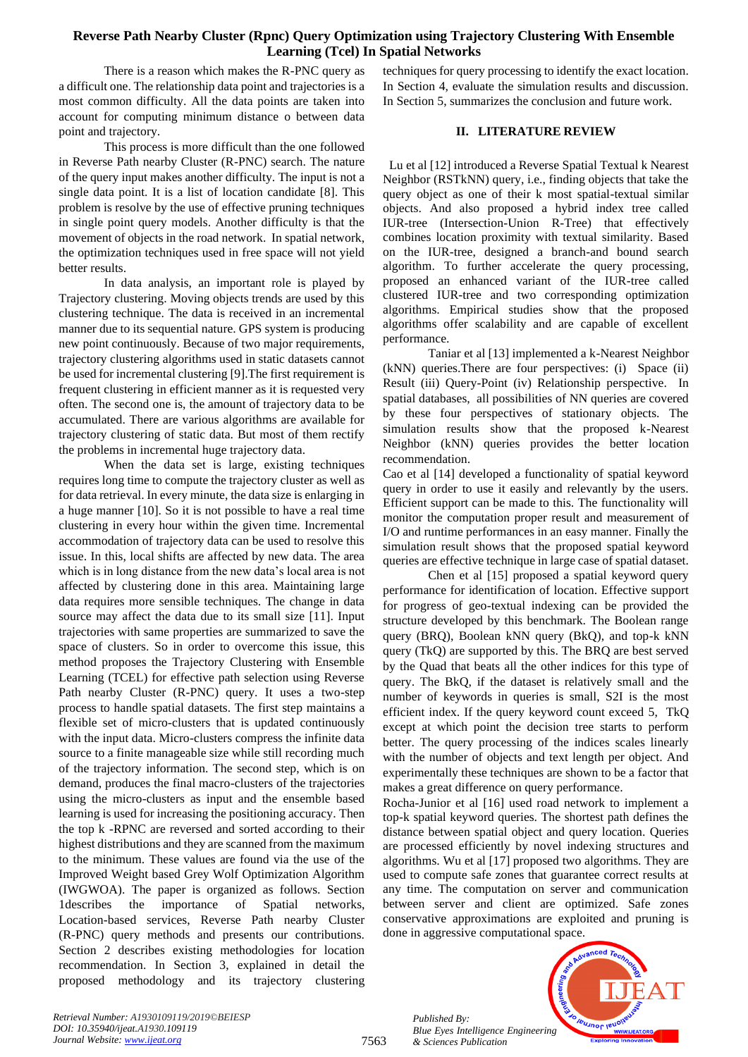There is a reason which makes the R-PNC query as a difficult one. The relationship data point and trajectories is a most common difficulty. All the data points are taken into account for computing minimum distance o between data point and trajectory.

This process is more difficult than the one followed in Reverse Path nearby Cluster (R-PNC) search. The nature of the query input makes another difficulty. The input is not a single data point. It is a list of location candidate [8]. This problem is resolve by the use of effective pruning techniques in single point query models. Another difficulty is that the movement of objects in the road network. In spatial network, the optimization techniques used in free space will not yield better results.

In data analysis, an important role is played by Trajectory clustering. Moving objects trends are used by this clustering technique. The data is received in an incremental manner due to its sequential nature. GPS system is producing new point continuously. Because of two major requirements, trajectory clustering algorithms used in static datasets cannot be used for incremental clustering [9].The first requirement is frequent clustering in efficient manner as it is requested very often. The second one is, the amount of trajectory data to be accumulated. There are various algorithms are available for trajectory clustering of static data. But most of them rectify the problems in incremental huge trajectory data.

When the data set is large, existing techniques requires long time to compute the trajectory cluster as well as for data retrieval. In every minute, the data size is enlarging in a huge manner [10]. So it is not possible to have a real time clustering in every hour within the given time. Incremental accommodation of trajectory data can be used to resolve this issue. In this, local shifts are affected by new data. The area which is in long distance from the new data's local area is not affected by clustering done in this area. Maintaining large data requires more sensible techniques. The change in data source may affect the data due to its small size [11]. Input trajectories with same properties are summarized to save the space of clusters. So in order to overcome this issue, this method proposes the Trajectory Clustering with Ensemble Learning (TCEL) for effective path selection using Reverse Path nearby Cluster (R-PNC) query. It uses a two-step process to handle spatial datasets. The first step maintains a flexible set of micro-clusters that is updated continuously with the input data. Micro-clusters compress the infinite data source to a finite manageable size while still recording much of the trajectory information. The second step, which is on demand, produces the final macro-clusters of the trajectories using the micro-clusters as input and the ensemble based learning is used for increasing the positioning accuracy. Then the top k -RPNC are reversed and sorted according to their highest distributions and they are scanned from the maximum to the minimum. These values are found via the use of the Improved Weight based Grey Wolf Optimization Algorithm (IWGWOA). The paper is organized as follows. Section 1describes the importance of Spatial networks, Location-based services, Reverse Path nearby Cluster (R-PNC) query methods and presents our contributions. Section 2 describes existing methodologies for location recommendation. In Section 3, explained in detail the proposed methodology and its trajectory clustering

techniques for query processing to identify the exact location. In Section 4, evaluate the simulation results and discussion. In Section 5, summarizes the conclusion and future work.

## **II. LITERATURE REVIEW**

 Lu et al [12] introduced a Reverse Spatial Textual k Nearest Neighbor (RSTkNN) query, i.e., finding objects that take the query object as one of their k most spatial-textual similar objects. And also proposed a hybrid index tree called IUR-tree (Intersection-Union R-Tree) that effectively combines location proximity with textual similarity. Based on the IUR-tree, designed a branch-and bound search algorithm. To further accelerate the query processing, proposed an enhanced variant of the IUR-tree called clustered IUR-tree and two corresponding optimization algorithms. Empirical studies show that the proposed algorithms offer scalability and are capable of excellent performance.

Taniar et al [13] implemented a k-Nearest Neighbor (kNN) queries.There are four perspectives: (i) Space (ii) Result (iii) Query-Point (iv) Relationship perspective. In spatial databases, all possibilities of NN queries are covered by these four perspectives of stationary objects. The simulation results show that the proposed k-Nearest Neighbor (kNN) queries provides the better location recommendation.

Cao et al [14] developed a functionality of spatial keyword query in order to use it easily and relevantly by the users. Efficient support can be made to this. The functionality will monitor the computation proper result and measurement of I/O and runtime performances in an easy manner. Finally the simulation result shows that the proposed spatial keyword queries are effective technique in large case of spatial dataset.

Chen et al [15] proposed a spatial keyword query performance for identification of location. Effective support for progress of geo-textual indexing can be provided the structure developed by this benchmark. The Boolean range query (BRQ), Boolean kNN query (BkQ), and top-k kNN query (TkQ) are supported by this. The BRQ are best served by the Quad that beats all the other indices for this type of query. The BkQ, if the dataset is relatively small and the number of keywords in queries is small, S2I is the most efficient index. If the query keyword count exceed 5, TkQ except at which point the decision tree starts to perform better. The query processing of the indices scales linearly with the number of objects and text length per object. And experimentally these techniques are shown to be a factor that makes a great difference on query performance.

Rocha-Junior et al [16] used road network to implement a top-k spatial keyword queries. The shortest path defines the distance between spatial object and query location. Queries are processed efficiently by novel indexing structures and algorithms. Wu et al [17] proposed two algorithms. They are used to compute safe zones that guarantee correct results at any time. The computation on server and communication between server and client are optimized. Safe zones conservative approximations are exploited and pruning is done in aggressive computational space.

**Jeumor leug** *Blue Eyes Intelligence Engineering* 

*Retrieval Number: A1930109119/2019©BEIESP DOI: 10.35940/ijeat.A1930.109119 Journal Website[: www.ijeat.org](http://www.ijeat.org/)*

*Published By:*

*& Sciences Publication*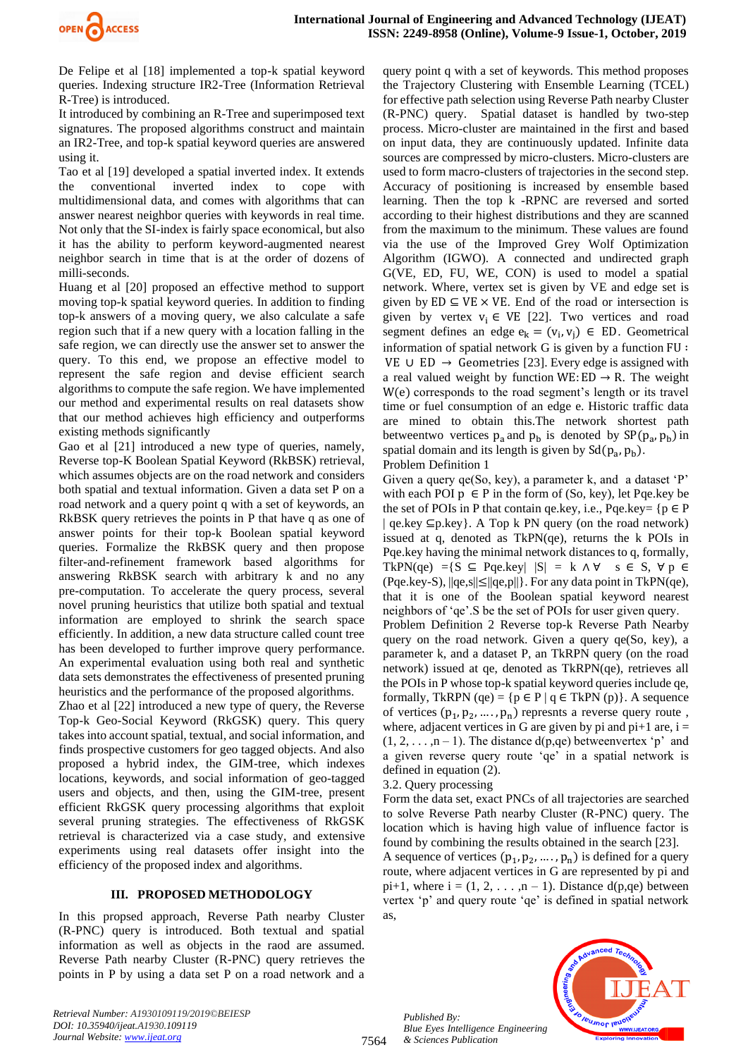

De Felipe et al [18] implemented a top-k spatial keyword queries. Indexing structure IR2-Tree (Information Retrieval R-Tree) is introduced.

It introduced by combining an R-Tree and superimposed text signatures. The proposed algorithms construct and maintain an IR2-Tree, and top-k spatial keyword queries are answered using it.

Tao et al [19] developed a spatial inverted index. It extends the conventional inverted index to cope with multidimensional data, and comes with algorithms that can answer nearest neighbor queries with keywords in real time. Not only that the SI-index is fairly space economical, but also it has the ability to perform keyword-augmented nearest neighbor search in time that is at the order of dozens of milli-seconds.

Huang et al [20] proposed an effective method to support moving top-k spatial keyword queries. In addition to finding top-k answers of a moving query, we also calculate a safe region such that if a new query with a location falling in the safe region, we can directly use the answer set to answer the query. To this end, we propose an effective model to represent the safe region and devise efficient search algorithms to compute the safe region. We have implemented our method and experimental results on real datasets show that our method achieves high efficiency and outperforms existing methods significantly

Gao et al [21] introduced a new type of queries, namely, Reverse top-K Boolean Spatial Keyword (RkBSK) retrieval, which assumes objects are on the road network and considers both spatial and textual information. Given a data set P on a road network and a query point q with a set of keywords, an RkBSK query retrieves the points in P that have q as one of answer points for their top-k Boolean spatial keyword queries. Formalize the RkBSK query and then propose filter-and-refinement framework based algorithms for answering RkBSK search with arbitrary k and no any pre-computation. To accelerate the query process, several novel pruning heuristics that utilize both spatial and textual information are employed to shrink the search space efficiently. In addition, a new data structure called count tree has been developed to further improve query performance. An experimental evaluation using both real and synthetic data sets demonstrates the effectiveness of presented pruning heuristics and the performance of the proposed algorithms.

Zhao et al [22] introduced a new type of query, the Reverse Top-k Geo-Social Keyword (RkGSK) query. This query takes into account spatial, textual, and social information, and finds prospective customers for geo tagged objects. And also proposed a hybrid index, the GIM-tree, which indexes locations, keywords, and social information of geo-tagged users and objects, and then, using the GIM-tree, present efficient RkGSK query processing algorithms that exploit several pruning strategies. The effectiveness of RkGSK retrieval is characterized via a case study, and extensive experiments using real datasets offer insight into the efficiency of the proposed index and algorithms.

## **III. PROPOSED METHODOLOGY**

In this propsed approach, Reverse Path nearby Cluster (R-PNC) query is introduced. Both textual and spatial information as well as objects in the raod are assumed. Reverse Path nearby Cluster (R-PNC) query retrieves the points in P by using a data set P on a road network and a query point q with a set of keywords. This method proposes the Trajectory Clustering with Ensemble Learning (TCEL) for effective path selection using Reverse Path nearby Cluster (R-PNC) query. Spatial dataset is handled by two-step process. Micro-cluster are maintained in the first and based on input data, they are continuously updated. Infinite data sources are compressed by micro-clusters. Micro-clusters are used to form macro-clusters of trajectories in the second step. Accuracy of positioning is increased by ensemble based learning. Then the top k -RPNC are reversed and sorted according to their highest distributions and they are scanned from the maximum to the minimum. These values are found via the use of the Improved Grey Wolf Optimization Algorithm (IGWO). A connected and undirected graph G(VE, ED, FU, WE, CON) is used to model a spatial network. Where, vertex set is given by VE and edge set is given by  $ED \subseteq VE \times VE$ . End of the road or intersection is given by vertex  $v_i \in VE$  [22]. Two vertices and road segment defines an edge  $e_k = (v_i, v_j) \in ED$ . Geometrical information of spatial network G is given by a function FU ∶ VE ∪ ED  $\rightarrow$  Geometries [23]. Every edge is assigned with a real valued weight by function WE: ED  $\rightarrow$  R. The weight W(e) corresponds to the road segment's length or its travel time or fuel consumption of an edge e. Historic traffic data are mined to obtain this.The network shortest path betweentwo vertices  $p_a$  and  $p_b$  is denoted by  $SP(p_a, p_b)$  in spatial domain and its length is given by  $Sd(p_a, p_b)$ .

#### Problem Definition 1

Given a query qe(So, key), a parameter k, and a dataset 'P' with each POI  $p \in P$  in the form of (So, key), let Pqe.key be the set of POIs in P that contain qe.key, i.e., Pqe.key=  $\{p \in P\}$  $|$  qe.key  $\subseteq$ p.key $\}$ . A Top k PN query (on the road network) issued at q, denoted as TkPN(qe), returns the k POIs in Pqe.key having the minimal network distances to q, formally, TkPN(qe) ={S  $\subseteq$  Pqe.key|  $|S| = k \land \forall$  s  $\in$  S,  $\forall p \in$ (Pqe.key-S), ||qe,s||≤||qe,p||}. For any data point in TkPN(qe), that it is one of the Boolean spatial keyword nearest neighbors of 'qe'.S be the set of POIs for user given query. Problem Definition 2 Reverse top-k Reverse Path Nearby query on the road network. Given a query qe(So, key), a parameter k, and a dataset P, an TkRPN query (on the road network) issued at qe, denoted as TkRPN(qe), retrieves all the POIs in P whose top-k spatial keyword queries include qe, formally, TkRPN (qe) = { $p \in P | q \in$  TkPN (p)}. A sequence of vertices  $(p_1, p_2, ..., p_n)$  represnts a reverse query route, where, adjacent vertices in G are given by pi and  $pi+1$  are,  $i =$  $(1, 2, \ldots, n-1)$ . The distance d(p,qe) betweenvertex 'p' and a given reverse query route 'qe' in a spatial network is defined in equation (2).

3.2. Query processing

*Published By:*

*& Sciences Publication* 

Form the data set, exact PNCs of all trajectories are searched to solve Reverse Path nearby Cluster (R-PNC) query. The location which is having high value of influence factor is found by combining the results obtained in the search [23].

A sequence of vertices  $(p_1, p_2, ..., p_n)$  is defined for a query route, where adjacent vertices in G are represented by pi and pi+1, where  $i = (1, 2, \ldots, n - 1)$ . Distance  $d(p, qe)$  between vertex 'p' and query route 'qe' is defined in spatial network as,



*Retrieval Number: A1930109119/2019©BEIESP DOI: 10.35940/ijeat.A1930.109119 Journal Website[: www.ijeat.org](http://www.ijeat.org/)*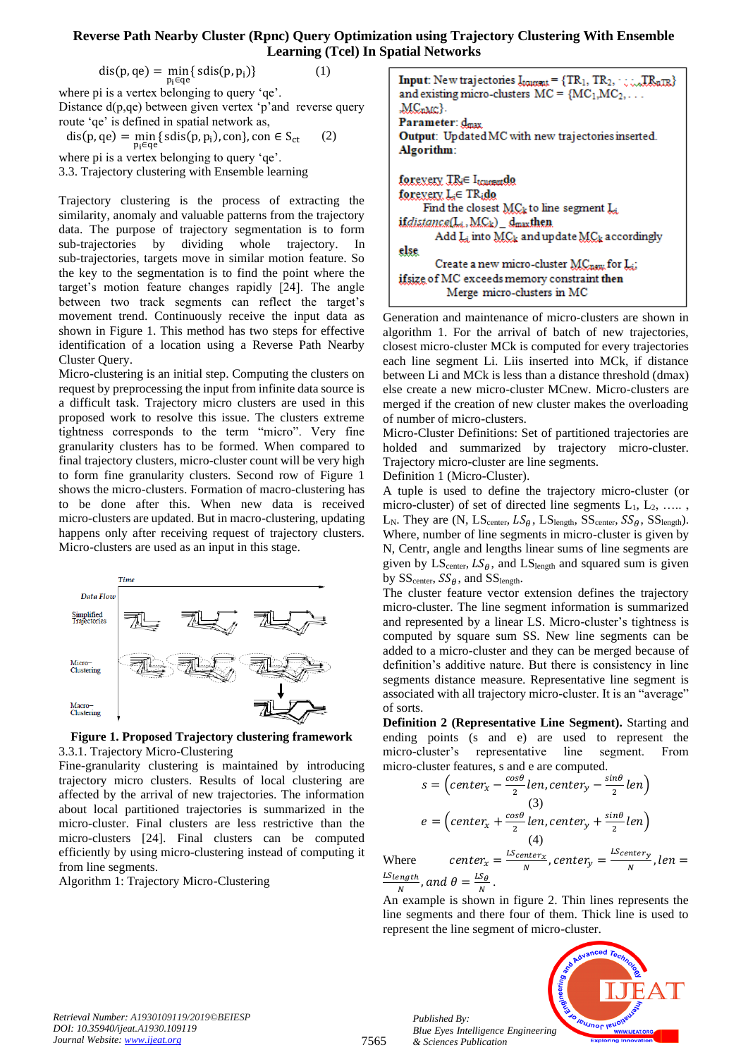$$
dis(p, qe) = \min_{p_i \in qe} \{ \text{sdis}(p, p_i) \}
$$
 (1)

where pi is a vertex belonging to query 'qe'. Distance d(p,qe) between given vertex 'p'and reverse query route 'qe' is defined in spatial network as,

 $dis(p, qe) = \min_{z \in \mathcal{C}} \{ sdis(p, p_i), con\}$ , con  $\in S_{ct}$ pi∈qe (2)

where pi is a vertex belonging to query 'qe'.

3.3. Trajectory clustering with Ensemble learning

Trajectory clustering is the process of extracting the similarity, anomaly and valuable patterns from the trajectory data. The purpose of trajectory segmentation is to form sub-trajectories by dividing whole trajectory. In sub-trajectories, targets move in similar motion feature. So the key to the segmentation is to find the point where the target's motion feature changes rapidly [24]. The angle between two track segments can reflect the target's movement trend. Continuously receive the input data as shown in Figure 1. This method has two steps for effective identification of a location using a Reverse Path Nearby Cluster Query.

Micro-clustering is an initial step. Computing the clusters on request by preprocessing the input from infinite data source is a difficult task. Trajectory micro clusters are used in this proposed work to resolve this issue. The clusters extreme tightness corresponds to the term "micro". Very fine granularity clusters has to be formed. When compared to final trajectory clusters, micro-cluster count will be very high to form fine granularity clusters. Second row of Figure 1 shows the micro-clusters. Formation of macro-clustering has to be done after this. When new data is received micro-clusters are updated. But in macro-clustering, updating happens only after receiving request of trajectory clusters. Micro-clusters are used as an input in this stage.





Fine-granularity clustering is maintained by introducing trajectory micro clusters. Results of local clustering are affected by the arrival of new trajectories. The information about local partitioned trajectories is summarized in the micro-cluster. Final clusters are less restrictive than the micro-clusters [24]. Final clusters can be computed efficiently by using micro-clustering instead of computing it from line segments.

Algorithm 1: Trajectory Micro-Clustering

**Input:** New trajectories  $I_{\text{transfer}} = \{TR_1, TR_2, \dots, TR_{\text{nTR}}\}$ and existing micro-clusters  $MC = \{MC_1, MC_2, \ldots\}$  $MC<sub>nMC</sub>$ Parameter: dmax. Output: Updated MC with new trajectories inserted. Algorithm: forexery IR<sub>i</sub>∈ I<sub>tonomi</sub>de forexery. L<sub>i</sub>∈ TR<sub>i</sub>do Find the closest  $MC_k$  to line segment  $L_k$ ifdistance(L<sub>i</sub>, MC<sub>k</sub>) \_dmaxthen Add  $\mathbf{L}_i$  into  $\mathbf{MC}_k$  and update  $\mathbf{MC}_k$  accordingly else Create a new micro-cluster MCnew for Li ifsize of MC exceeds memory constraint then Merge micro-clusters in MC

Generation and maintenance of micro-clusters are shown in algorithm 1. For the arrival of batch of new trajectories, closest micro-cluster MCk is computed for every trajectories each line segment Li. Liis inserted into MCk, if distance between Li and MCk is less than a distance threshold (dmax) else create a new micro-cluster MCnew. Micro-clusters are merged if the creation of new cluster makes the overloading of number of micro-clusters.

Micro-Cluster Definitions: Set of partitioned trajectories are holded and summarized by trajectory micro-cluster. Trajectory micro-cluster are line segments.

Definition 1 (Micro-Cluster).

A tuple is used to define the trajectory micro-cluster (or micro-cluster) of set of directed line segments  $L_1, L_2, \ldots,$ L<sub>N</sub>. They are  $(N, LS_{center}, LS_{\theta}, LS_{length}, SS_{center}, SS_{\theta}, SS_{length}).$ Where, number of line segments in micro-cluster is given by N, Centr, angle and lengths linear sums of line segments are given by  $LS_{center}$ ,  $LS_{\theta}$ , and  $LS_{length}$  and squared sum is given by  $SS_{center}$ ,  $SS_{\theta}$ , and  $SS_{length}$ .

The cluster feature vector extension defines the trajectory micro-cluster. The line segment information is summarized and represented by a linear LS. Micro-cluster's tightness is computed by square sum SS. New line segments can be added to a micro-cluster and they can be merged because of definition's additive nature. But there is consistency in line segments distance measure. Representative line segment is associated with all trajectory micro-cluster. It is an "average" of sorts.

**Definition 2 (Representative Line Segment).** Starting and ending points (s and e) are used to represent the micro-cluster's representative line segment. From micro-cluster features, s and e are computed.

$$
s = \left(\text{center}_{x} - \frac{\cos\theta}{2}\text{len}, \text{center}_{y} - \frac{\sin\theta}{2}\text{len}\right)
$$
\n
$$
e = \left(\text{center}_{x} + \frac{\cos\theta}{2}\text{len}, \text{center}_{y} + \frac{\sin\theta}{2}\text{len}\right)
$$
\n
$$
\tag{4}
$$
\n
$$
\text{const}
$$
\n
$$
e = \frac{L_{\text{Center}_{x}}}{2} \cdot \text{center}_{x} \cdot \text{center}_{y} - \frac{L_{\text{Center}_{y}}}{2} \cdot \text{len}
$$

Where  $center_x = \frac{LScenter_x}{N}$  $\frac{inter_{x}}{N}$ , center<sub>y</sub>  $=\frac{LS_{center_{y}}}{N}$  $\frac{m+1}{N}$ , len =  $LS$ <sub>length</sub>  $\frac{e^{n}gth}{N}$ , and  $\theta = \frac{LS_{\theta}}{N}$  $\frac{3\theta}{N}$ .

An example is shown in figure 2. Thin lines represents the line segments and there four of them. Thick line is used to represent the line segment of micro-cluster.



*Retrieval Number: A1930109119/2019©BEIESP DOI: 10.35940/ijeat.A1930.109119 Journal Website[: www.ijeat.org](http://www.ijeat.org/)*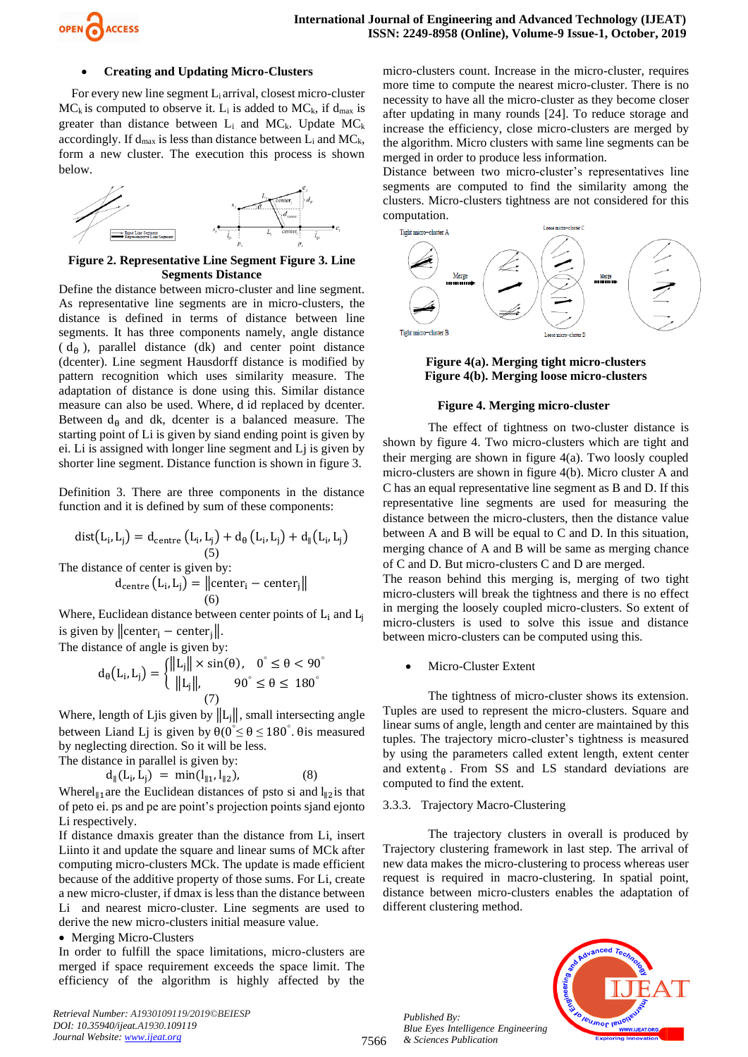

#### • **Creating and Updating Micro-Clusters**

For every new line segment  $L_i$  arrival, closest micro-cluster  $MC_k$  is computed to observe it. L<sub>i</sub> is added to  $MC_k$ , if d<sub>max</sub> is greater than distance between  $L_i$  and  $MC_k$ . Update  $MC_k$ accordingly. If  $d_{max}$  is less than distance between  $L_i$  and  $MC_k$ , form a new cluster. The execution this process is shown below.



**Figure 2. Representative Line Segment Figure 3. Line Segments Distance**

Define the distance between micro-cluster and line segment. As representative line segments are in micro-clusters, the distance is defined in terms of distance between line segments. It has three components namely, angle distance  $(d_{\theta})$ , parallel distance (dk) and center point distance (dcenter). Line segment Hausdorff distance is modified by pattern recognition which uses similarity measure. The adaptation of distance is done using this. Similar distance measure can also be used. Where, d id replaced by dcenter. Between  $d_{\theta}$  and dk, dcenter is a balanced measure. The starting point of Li is given by siand ending point is given by ei. Li is assigned with longer line segment and Lj is given by shorter line segment. Distance function is shown in figure 3.

Definition 3. There are three components in the distance function and it is defined by sum of these components:

$$
dist(L_i, L_j) = d_{centre}(L_i, L_j) + d_{\theta}(L_i, L_j) + d_{\parallel}(L_i, L_j)
$$
\n(5)  
\nThe distance of center is given by:

$$
d_{\text{centre}} (L_i, L_j) = ||\text{center}_i - \text{center}_j||
$$
  
(6)

Where, Euclidean distance between center points of  $L_i$  and  $L_i$ is given by  $\|\text{center}_i - \text{center}_i\|$ .

The distance of angle is given by:

$$
d_{\theta}(L_i, L_j) = \begin{cases} ||L_j|| \times \sin(\theta), & 0^{\circ} \le \theta < 90^{\circ} \\ ||L_j||, & 90^{\circ} \le \theta \le 180^{\circ} \end{cases}
$$
  
(7)

Where, length of Ljis given by  $||L_i||$ , small intersecting angle between Liand Lj is given by  $\theta(0^{\circ} \le \theta \le 180^{\circ})$ .  $\theta$  is measured by neglecting direction. So it will be less.

The distance in parallel is given by:

$$
d_{\parallel}(L_i, L_j) = \min(l_{\parallel 1}, l_{\parallel 2}), \tag{8}
$$

Where $l_{\parallel 1}$  are the Euclidean distances of psto si and  $l_{\parallel 2}$  is that of peto ei. ps and pe are point's projection points sjand ejonto Li respectively.

If distance dmaxis greater than the distance from Li, insert Liinto it and update the square and linear sums of MCk after computing micro-clusters MCk. The update is made efficient because of the additive property of those sums. For Li, create a new micro-cluster, if dmax is less than the distance between Li and nearest micro-cluster. Line segments are used to derive the new micro-clusters initial measure value.

• Merging Micro-Clusters

In order to fulfill the space limitations, micro-clusters are merged if space requirement exceeds the space limit. The efficiency of the algorithm is highly affected by the

*Retrieval Number: A1930109119/2019©BEIESP DOI: 10.35940/ijeat.A1930.109119 Journal Website[: www.ijeat.org](http://www.ijeat.org/)*

micro-clusters count. Increase in the micro-cluster, requires more time to compute the nearest micro-cluster. There is no necessity to have all the micro-cluster as they become closer after updating in many rounds [24]. To reduce storage and increase the efficiency, close micro-clusters are merged by the algorithm. Micro clusters with same line segments can be merged in order to produce less information.

Distance between two micro-cluster's representatives line segments are computed to find the similarity among the clusters. Micro-clusters tightness are not considered for this computation.



**Figure 4(a). Merging tight micro-clusters Figure 4(b). Merging loose micro-clusters**

#### **Figure 4. Merging micro-cluster**

The effect of tightness on two-cluster distance is shown by figure 4. Two micro-clusters which are tight and their merging are shown in figure 4(a). Two loosly coupled micro-clusters are shown in figure 4(b). Micro cluster A and C has an equal representative line segment as B and D. If this representative line segments are used for measuring the distance between the micro-clusters, then the distance value between A and B will be equal to C and D. In this situation, merging chance of A and B will be same as merging chance of C and D. But micro-clusters C and D are merged.

The reason behind this merging is, merging of two tight micro-clusters will break the tightness and there is no effect in merging the loosely coupled micro-clusters. So extent of micro-clusters is used to solve this issue and distance between micro-clusters can be computed using this.

Micro-Cluster Extent

The tightness of micro-cluster shows its extension. Tuples are used to represent the micro-clusters. Square and linear sums of angle, length and center are maintained by this tuples. The trajectory micro-cluster's tightness is measured by using the parameters called extent length, extent center and extent $_{\theta}$ . From SS and LS standard deviations are computed to find the extent.

#### 3.3.3. Trajectory Macro-Clustering

The trajectory clusters in overall is produced by Trajectory clustering framework in last step. The arrival of new data makes the micro-clustering to process whereas user request is required in macro-clustering. In spatial point, distance between micro-clusters enables the adaptation of different clustering method.



*Published By: Blue Eyes Intelligence Engineering & Sciences Publication* 

7566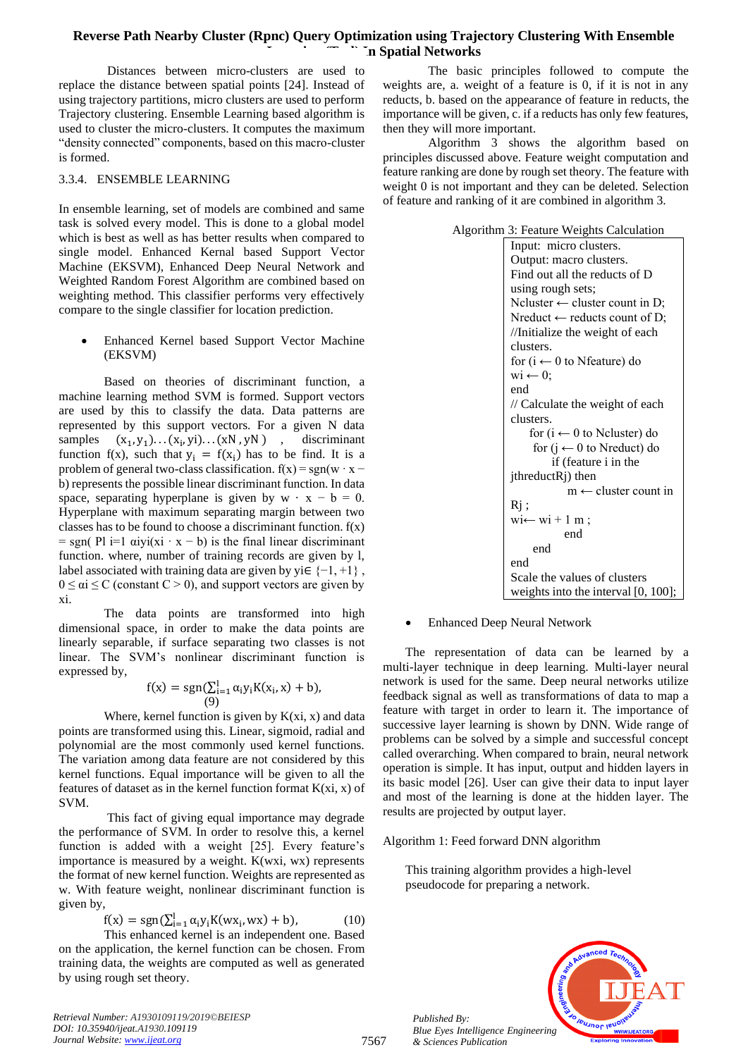Distances between micro-clusters are used to replace the distance between spatial points [24]. Instead of using trajectory partitions, micro clusters are used to perform Trajectory clustering. Ensemble Learning based algorithm is used to cluster the micro-clusters. It computes the maximum "density connected" components, based on this macro-cluster is formed.

## 3.3.4. ENSEMBLE LEARNING

In ensemble learning, set of models are combined and same task is solved every model. This is done to a global model which is best as well as has better results when compared to single model. Enhanced Kernal based Support Vector Machine (EKSVM), Enhanced Deep Neural Network and Weighted Random Forest Algorithm are combined based on weighting method. This classifier performs very effectively compare to the single classifier for location prediction.

• Enhanced Kernel based Support Vector Machine (EKSVM)

Based on theories of discriminant function, a machine learning method SVM is formed. Support vectors are used by this to classify the data. Data patterns are represented by this support vectors. For a given N data samples  $(y_1) \dots (x_i, yi) \dots (xN, yN)$ , discriminant function f(x), such that  $y_i = f(x_i)$  has to be find. It is a problem of general two-class classification.  $f(x) = sgn(w \cdot x$ b) represents the possible linear discriminant function. In data space, separating hyperplane is given by  $w \cdot x - b = 0$ . Hyperplane with maximum separating margin between two classes has to be found to choose a discriminant function.  $f(x)$  $=$  sgn( Pl i=1  $\alpha$ iyi(xi · x − b) is the final linear discriminant function. where, number of training records are given by l, label associated with training data are given by yi $\in \{-1, +1\}$ ,  $0 \le \alpha i \le C$  (constant  $C > 0$ ), and support vectors are given by xi.

The data points are transformed into high dimensional space, in order to make the data points are linearly separable, if surface separating two classes is not linear. The SVM's nonlinear discriminant function is expressed by,

$$
f(x) = sgn(\sum_{i=1}^{l} \alpha_i y_i K(x_i, x) + b),
$$
  
(9)

Where, kernel function is given by  $K(xi, x)$  and data points are transformed using this. Linear, sigmoid, radial and polynomial are the most commonly used kernel functions. The variation among data feature are not considered by this kernel functions. Equal importance will be given to all the features of dataset as in the kernel function format  $K(xi, x)$  of SVM.

This fact of giving equal importance may degrade the performance of SVM. In order to resolve this, a kernel function is added with a weight [25]. Every feature's importance is measured by a weight. K(wxi, wx) represents the format of new kernel function. Weights are represented as w. With feature weight, nonlinear discriminant function is given by,

$$
f(x) = sgn(\sum_{i=1}^{l} \alpha_i y_i K(wx_i, wx) + b),
$$
 (10)  
This enhanced kernel is an independent one. Based

on the application, the kernel function can be chosen. From training data, the weights are computed as well as generated by using rough set theory.

*Retrieval Number: A1930109119/2019©BEIESP DOI: 10.35940/ijeat.A1930.109119 Journal Website[: www.ijeat.org](http://www.ijeat.org/)*

The basic principles followed to compute the weights are, a. weight of a feature is 0, if it is not in any reducts, b. based on the appearance of feature in reducts, the importance will be given, c. if a reducts has only few features, then they will more important.

Algorithm 3 shows the algorithm based on principles discussed above. Feature weight computation and feature ranking are done by rough set theory. The feature with weight 0 is not important and they can be deleted. Selection of feature and ranking of it are combined in algorithm 3.

| Algorithm 3: Feature Weights Calculation |                                           |  |
|------------------------------------------|-------------------------------------------|--|
|                                          | Input: micro clusters.                    |  |
|                                          | Output: macro clusters.                   |  |
|                                          | Find out all the reducts of D             |  |
|                                          | using rough sets;                         |  |
|                                          | Neluster $\leftarrow$ cluster count in D; |  |
|                                          | Nreduct $\leftarrow$ reducts count of D;  |  |
|                                          | //Initialize the weight of each           |  |
|                                          | clusters.                                 |  |
|                                          | for ( $i \leftarrow 0$ to Nfeature) do    |  |
|                                          | $\text{wi} \leftarrow 0$ ;                |  |
|                                          | end                                       |  |
|                                          | // Calculate the weight of each           |  |
|                                          | clusters.                                 |  |
|                                          | for $(i \leftarrow 0$ to Neluster) do     |  |
|                                          | for $(j \leftarrow 0$ to Nreduct) do      |  |
|                                          | if (feature <i>i</i> in the               |  |
|                                          | jthreductRj) then                         |  |
|                                          | $m \leftarrow$ cluster count in           |  |
|                                          | Rj;                                       |  |
|                                          | $wi \leftarrow wi + 1 m;$                 |  |
|                                          | end                                       |  |
|                                          | end                                       |  |
|                                          | end                                       |  |
|                                          | Scale the values of clusters              |  |
|                                          | weights into the interval $[0, 100]$ ;    |  |

# • Enhanced Deep Neural Network

The representation of data can be learned by a multi-layer technique in deep learning. Multi-layer neural network is used for the same. Deep neural networks utilize feedback signal as well as transformations of data to map a feature with target in order to learn it. The importance of successive layer learning is shown by DNN. Wide range of problems can be solved by a simple and successful concept called overarching. When compared to brain, neural network operation is simple. It has input, output and hidden layers in its basic model [26]. User can give their data to input layer and most of the learning is done at the hidden layer. The results are projected by output layer.

## Algorithm 1: Feed forward DNN algorithm

This training algorithm provides a high-level pseudocode for preparing a network.

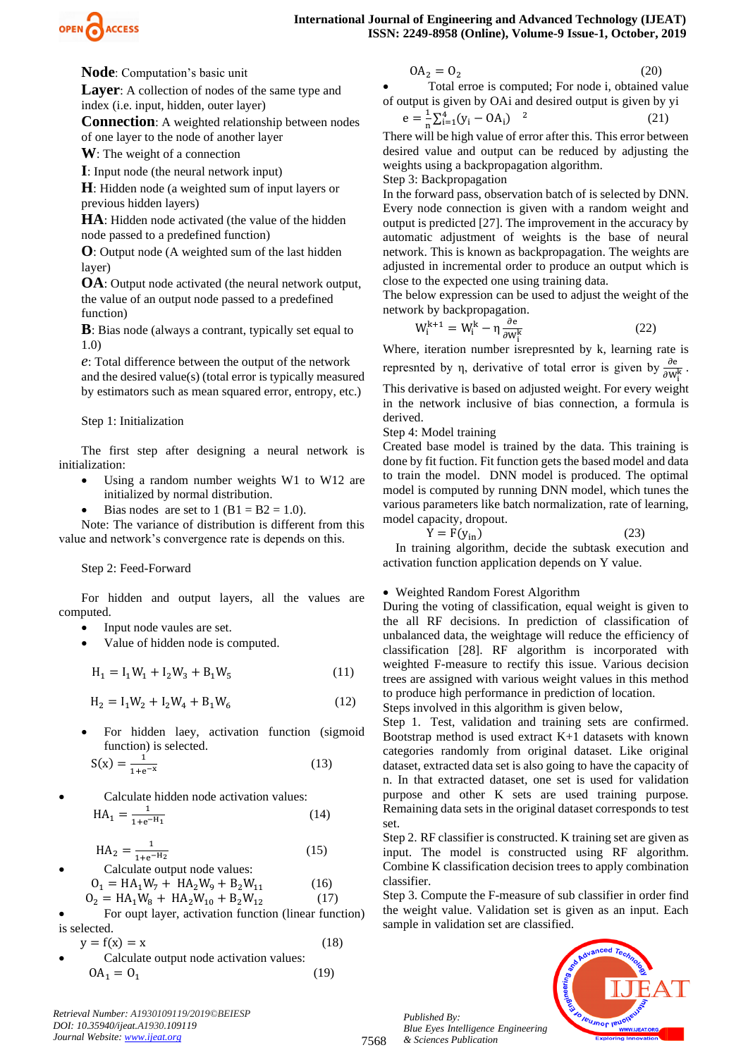

**Node**: Computation's basic unit

**Layer:** A collection of nodes of the same type and index (i.e. input, hidden, outer layer)

**Connection**: A weighted relationship between nodes of one layer to the node of another layer

**W**: The weight of a connection

**I**: Input node (the neural network input)

**H**: Hidden node (a weighted sum of input layers or previous hidden layers)

**HA**: Hidden node activated (the value of the hidden node passed to a predefined function)

**O**: Output node (A weighted sum of the last hidden layer)

**OA**: Output node activated (the neural network output, the value of an output node passed to a predefined function)

**B**: Bias node (always a contrant, typically set equal to 1.0)

*e*: Total difference between the output of the network and the desired value(s) (total error is typically measured by estimators such as mean squared error, entropy, etc.)

#### Step 1: Initialization

The first step after designing a neural network is initialization:

- Using a random number weights W1 to W12 are initialized by normal distribution.
- Bias nodes are set to  $1 (B1 = B2 = 1.0)$ .

Note: The variance of distribution is different from this value and network's convergence rate is depends on this.

## Step 2: Feed-Forward

For hidden and output layers, all the values are computed.

- Input node vaules are set.
- Value of hidden node is computed.

$$
H_1 = I_1 W_1 + I_2 W_3 + B_1 W_5 \tag{11}
$$

$$
H_2 = I_1 W_2 + I_2 W_4 + B_1 W_6 \tag{12}
$$

• For hidden laey, activation function (sigmoid function) is selected.

$$
S(x) = \frac{1}{1 + e^{-x}}
$$
 (13)

• Calculate hidden node activation values:  $HA_1 = \frac{1}{1+e^2}$  $1+e^{-H_1}$ (14)

> $HA_2 = \frac{1}{1+e^2}$  $1 + e^{-H_2}$ (15)

- Calculate output node values:  $O_1 = HA_1W_7 + HA_2W_9 + B_2W_{11}$  (16)  $O_2 = HA_1W_8 + HA_2W_{10} + B_2W_{12}$  (17)
- For oupt layer, activation function (linear function) is selected.

$$
y = f(x) = x
$$
 (18)  
• Calculate output node activation values:

$$
OA1 = 01
$$
 (19)

*Retrieval Number: A1930109119/2019©BEIESP DOI: 10.35940/ijeat.A1930.109119 Journal Website[: www.ijeat.org](http://www.ijeat.org/)*

$$
OA2 = O2
$$
 (20)

Total erroe is computed; For node i, obtained value of output is given by OAi and desired output is given by yi

$$
e = \frac{1}{n} \sum_{i=1}^{4} (y_i - 0A_i)^{-2}
$$
 (21)

There will be high value of error after this. This error between desired value and output can be reduced by adjusting the weights using a backpropagation algorithm.

Step 3: Backpropagation

In the forward pass, observation batch of is selected by DNN. Every node connection is given with a random weight and output is predicted [27]. The improvement in the accuracy by automatic adjustment of weights is the base of neural network. This is known as backpropagation. The weights are adjusted in incremental order to produce an output which is close to the expected one using training data.

The below expression can be used to adjust the weight of the network by backpropagation.

$$
W_i^{k+1} = W_i^k - \eta \frac{\partial e}{\partial W_i^k}
$$
 (22)

Where, iteration number isrepresnted by k, learning rate is represnted by η, derivative of total error is given by  $\frac{\partial e}{\partial W_i^k}$ .

This derivative is based on adjusted weight. For every weight in the network inclusive of bias connection, a formula is derived.

## Step 4: Model training

Created base model is trained by the data. This training is done by fit fuction. Fit function gets the based model and data to train the model. DNN model is produced. The optimal model is computed by running DNN model, which tunes the various parameters like batch normalization, rate of learning, model capacity, dropout.

$$
\dot{Y} = F(y_{in})
$$
 (23)

In training algorithm, decide the subtask execution and activation function application depends on Y value.

## • Weighted Random Forest Algorithm

During the voting of classification, equal weight is given to the all RF decisions. In prediction of classification of unbalanced data, the weightage will reduce the efficiency of classification [28]. RF algorithm is incorporated with weighted F-measure to rectify this issue. Various decision trees are assigned with various weight values in this method to produce high performance in prediction of location.

Steps involved in this algorithm is given below,

Step 1. Test, validation and training sets are confirmed. Bootstrap method is used extract K+1 datasets with known categories randomly from original dataset. Like original dataset, extracted data set is also going to have the capacity of n. In that extracted dataset, one set is used for validation purpose and other K sets are used training purpose. Remaining data sets in the original dataset corresponds to test set.

Step 2. RF classifier is constructed. K training set are given as input. The model is constructed using RF algorithm. Combine K classification decision trees to apply combination classifier.

Step 3. Compute the F-measure of sub classifier in order find the weight value. Validation set is given as an input. Each sample in validation set are classified.



*Published By: Blue Eyes Intelligence Engineering & Sciences Publication* 

7568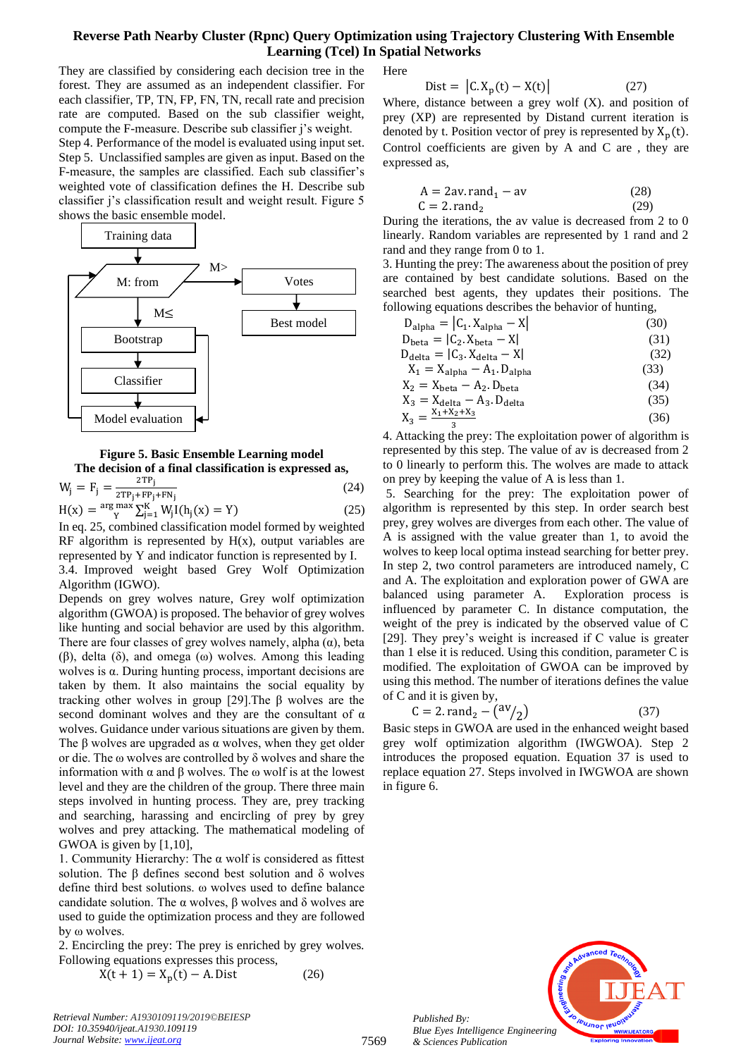They are classified by considering each decision tree in the forest. They are assumed as an independent classifier. For each classifier, TP, TN, FP, FN, TN, recall rate and precision rate are computed. Based on the sub classifier weight, compute the F-measure. Describe sub classifier j's weight. Step 4. Performance of the model is evaluated using input set. Step 5. Unclassified samples are given as input. Based on the F-measure, the samples are classified. Each sub classifier's weighted vote of classification defines the H. Describe sub classifier j's classification result and weight result. Figure 5 shows the basic ensemble model.



**Figure 5. Basic Ensemble Learning model The decision of a final classification is expressed as,**

$$
W_{j} = F_{j} = \frac{2^{TP}j}{2^{TP}j + FP_{j} + FN_{j}}
$$
(24)  
H(x) =  ${}^{arg} W_{y} \sum_{i=1}^{K} W_{i} I(h_{i}(x) = Y)$  (25)

 $\sum_{j=1}^{\text{max}} W_j I(h_j(x) = Y)$ In eq. 25, combined classification model formed by weighted RF algorithm is represented by  $H(x)$ , output variables are represented by Y and indicator function is represented by I. 3.4. Improved weight based Grey Wolf Optimization Algorithm (IGWO).

Depends on grey wolves nature, Grey wolf optimization algorithm (GWOA) is proposed. The behavior of grey wolves like hunting and social behavior are used by this algorithm. There are four classes of grey wolves namely, alpha  $(\alpha)$ , beta (β), delta (δ), and omega (ω) wolves. Among this leading wolves is α. During hunting process, important decisions are taken by them. It also maintains the social equality by tracking other wolves in group [29].The β wolves are the second dominant wolves and they are the consultant of  $\alpha$ wolves. Guidance under various situations are given by them. The  $\beta$  wolves are upgraded as  $\alpha$  wolves, when they get older or die. The ω wolves are controlled by δ wolves and share the information with α and β wolves. The ω wolf is at the lowest level and they are the children of the group. There three main steps involved in hunting process. They are, prey tracking and searching, harassing and encircling of prey by grey wolves and prey attacking. The mathematical modeling of GWOA is given by [1,10],

1. Community Hierarchy: The α wolf is considered as fittest solution. The β defines second best solution and δ wolves define third best solutions. ω wolves used to define balance candidate solution. The α wolves, β wolves and δ wolves are used to guide the optimization process and they are followed by ω wolves.

2. Encircling the prey: The prey is enriched by grey wolves. Following equations expresses this process,

$$
X(t + 1) = X_p(t) - A \text{. Dist} \tag{26}
$$

*Retrieval Number: A1930109119/2019©BEIESP DOI: 10.35940/ijeat.A1930.109119 Journal Website[: www.ijeat.org](http://www.ijeat.org/)*

Here

$$
Dist = |C. X_p(t) - X(t)|
$$
 (27)

Where, distance between a grey wolf  $(X)$ . and position of prey (XP) are represented by Distand current iteration is denoted by t. Position vector of prey is represented by  $X_p(t)$ . Control coefficients are given by A and C are , they are expressed as,

$$
A = 2av. rand1 - av
$$
 (28)  
C = 2. rand<sub>2</sub> (29)

During the iterations, the av value is decreased from 2 to 0 linearly. Random variables are represented by 1 rand and 2 rand and they range from 0 to 1.

3. Hunting the prey: The awareness about the position of prey are contained by best candidate solutions. Based on the searched best agents, they updates their positions. The following equations describes the behavior of hunting,

| $D_{\text{alpha}} =  C_1 \cdot X_{\text{alpha}} - X $     | (30) |
|-----------------------------------------------------------|------|
| $D_{\text{beta}} =  C_2 \text{, } X_{\text{beta}} - X $   | (31) |
| $D_{\text{delta}} =  C_3 \text{, } X_{\text{delta}} - X $ | (32) |
| $X_1 = X_{\text{alpha}} - A_1$ . D <sub>alpha</sub>       | (33) |
| $X_2 = X_{\text{beta}} - A_2$ . D <sub>beta</sub>         | (34) |
| $X_3 = X_{\text{delta}} - A_3$ . D <sub>delta</sub>       | (35) |
| $X_3 = \frac{X_1 + X_2 + X_3}{X_3}$                       | (36) |
|                                                           |      |

4. Attacking the prey: The exploitation power of algorithm is represented by this step. The value of av is decreased from 2 to 0 linearly to perform this. The wolves are made to attack on prey by keeping the value of A is less than 1.

5. Searching for the prey: The exploitation power of algorithm is represented by this step. In order search best prey, grey wolves are diverges from each other. The value of A is assigned with the value greater than 1, to avoid the wolves to keep local optima instead searching for better prey. In step 2, two control parameters are introduced namely, C and A. The exploitation and exploration power of GWA are balanced using parameter A. Exploration process is influenced by parameter C. In distance computation, the weight of the prey is indicated by the observed value of C [29]. They prey's weight is increased if C value is greater than 1 else it is reduced. Using this condition, parameter C is modified. The exploitation of GWOA can be improved by using this method. The number of iterations defines the value of C and it is given by,

$$
C = 2. \text{rand}_2 - \left(\frac{\text{av}}{2}\right) \tag{37}
$$

Basic steps in GWOA are used in the enhanced weight based grey wolf optimization algorithm (IWGWOA). Step 2 introduces the proposed equation. Equation 37 is used to replace equation 27. Steps involved in IWGWOA are shown in figure 6.

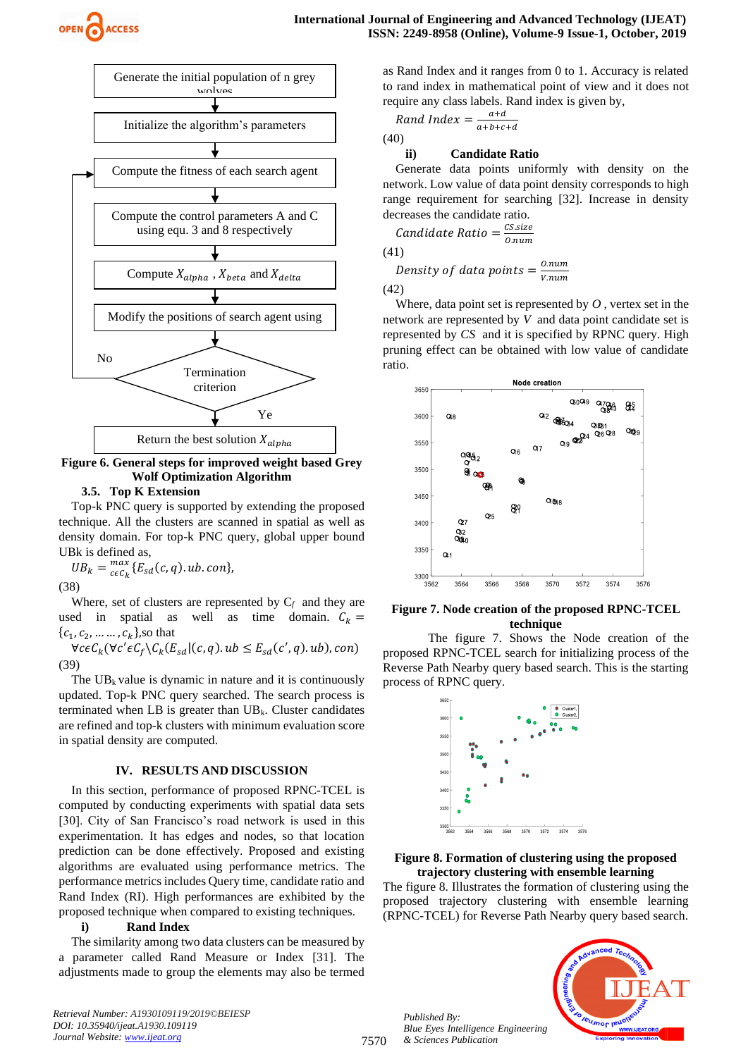



**Figure 6. General steps for improved weight based Grey Wolf Optimization Algorithm**

# **3.5. Top K Extension**

Top-k PNC query is supported by extending the proposed technique. All the clusters are scanned in spatial as well as density domain. For top-k PNC query, global upper bound UBk is defined as,

 $UB_k = \frac{max}{ceC_k}$  $\binom{max}{c\epsilon C_k} \{E_{sd}(c, q).ub. \:con\},$ 

(38)

Where, set of clusters are represented by  $C_f$  and they are used in spatial as well as time domain.  $C_k =$  $\{c_1, c_2, ..., c_k\}$ , so that

 $\forall c \in C_k (\forall c' \in C_f \setminus C_k (E_{sd} | (c, q).ub \leq E_{sd}(c', q).ub), con)$ (39)

The  $UB_k$  value is dynamic in nature and it is continuously updated. Top-k PNC query searched. The search process is terminated when LB is greater than  $UB_k$ . Cluster candidates are refined and top-k clusters with minimum evaluation score in spatial density are computed.

#### **IV. RESULTS AND DISCUSSION**

In this section, performance of proposed RPNC-TCEL is computed by conducting experiments with spatial data sets [30]. City of San Francisco's road network is used in this experimentation. It has edges and nodes, so that location prediction can be done effectively. Proposed and existing algorithms are evaluated using performance metrics. The performance metrics includes Query time, candidate ratio and Rand Index (RI). High performances are exhibited by the proposed technique when compared to existing techniques.

#### **i) Rand Index**

The similarity among two data clusters can be measured by a parameter called Rand Measure or Index [31]. The adjustments made to group the elements may also be termed

*Retrieval Number: A1930109119/2019©BEIESP DOI: 10.35940/ijeat.A1930.109119 Journal Website[: www.ijeat.org](http://www.ijeat.org/)*

as Rand Index and it ranges from 0 to 1. Accuracy is related to rand index in mathematical point of view and it does not require any class labels. Rand index is given by,

$$
Rand\ Index = \frac{a+d}{a+b+c+d}
$$

(40)

#### **ii) Candidate Ratio**

Generate data points uniformly with density on the network. Low value of data point density corresponds to high range requirement for searching [32]. Increase in density decreases the candidate ratio.

Candidate Ratio =  $\frac{CS.size}{2 m m}$  $0.num$ 

(41)

Density of data points = 
$$
\frac{0.num}{v.num}
$$
 (42)

Where, data point set is represented by *O* , vertex set in the network are represented by *V* and data point candidate set is represented by *CS* and it is specified by RPNC query. High pruning effect can be obtained with low value of candidate ratio.



#### **Figure 7. Node creation of the proposed RPNC-TCEL technique**

The figure 7. Shows the Node creation of the proposed RPNC-TCEL search for initializing process of the Reverse Path Nearby query based search. This is the starting process of RPNC query.



#### **Figure 8. Formation of clustering using the proposed trajectory clustering with ensemble learning**

The figure 8. Illustrates the formation of clustering using the proposed trajectory clustering with ensemble learning (RPNC-TCEL) for Reverse Path Nearby query based search.

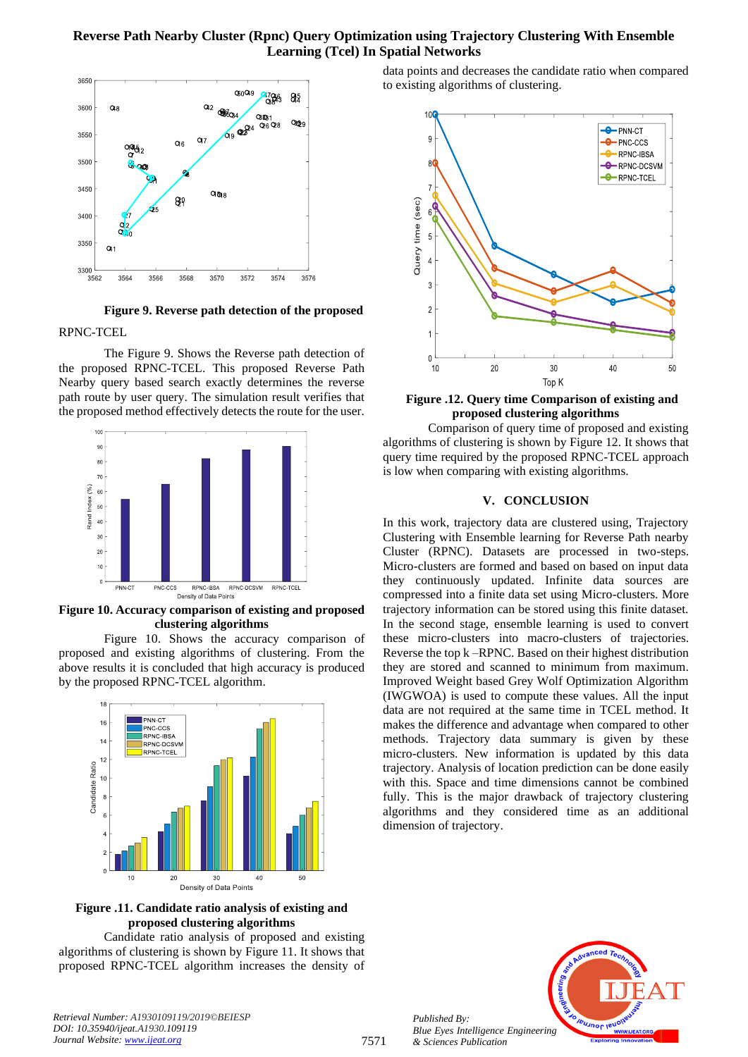

**Figure 9. Reverse path detection of the proposed** RPNC-TCEL

The Figure 9. Shows the Reverse path detection of the proposed RPNC-TCEL. This proposed Reverse Path Nearby query based search exactly determines the reverse path route by user query. The simulation result verifies that the proposed method effectively detects the route for the user.



**Figure 10. Accuracy comparison of existing and proposed clustering algorithms**

Figure 10. Shows the accuracy comparison of proposed and existing algorithms of clustering. From the above results it is concluded that high accuracy is produced by the proposed RPNC-TCEL algorithm.



**Figure .11. Candidate ratio analysis of existing and proposed clustering algorithms**

Candidate ratio analysis of proposed and existing algorithms of clustering is shown by Figure 11. It shows that proposed RPNC-TCEL algorithm increases the density of data points and decreases the candidate ratio when compared to existing algorithms of clustering.



**Figure .12. Query time Comparison of existing and proposed clustering algorithms**

Comparison of query time of proposed and existing algorithms of clustering is shown by Figure 12. It shows that query time required by the proposed RPNC-TCEL approach is low when comparing with existing algorithms.

#### **V. CONCLUSION**

In this work, trajectory data are clustered using, Trajectory Clustering with Ensemble learning for Reverse Path nearby Cluster (RPNC). Datasets are processed in two-steps. Micro-clusters are formed and based on based on input data they continuously updated. Infinite data sources are compressed into a finite data set using Micro-clusters. More trajectory information can be stored using this finite dataset. In the second stage, ensemble learning is used to convert these micro-clusters into macro-clusters of trajectories. Reverse the top k –RPNC. Based on their highest distribution they are stored and scanned to minimum from maximum. Improved Weight based Grey Wolf Optimization Algorithm (IWGWOA) is used to compute these values. All the input data are not required at the same time in TCEL method. It makes the difference and advantage when compared to other methods. Trajectory data summary is given by these micro-clusters. New information is updated by this data trajectory. Analysis of location prediction can be done easily with this. Space and time dimensions cannot be combined fully. This is the major drawback of trajectory clustering algorithms and they considered time as an additional dimension of trajectory.



*Retrieval Number: A1930109119/2019©BEIESP DOI: 10.35940/ijeat.A1930.109119 Journal Website[: www.ijeat.org](http://www.ijeat.org/)*

*Published By:*

*& Sciences Publication*